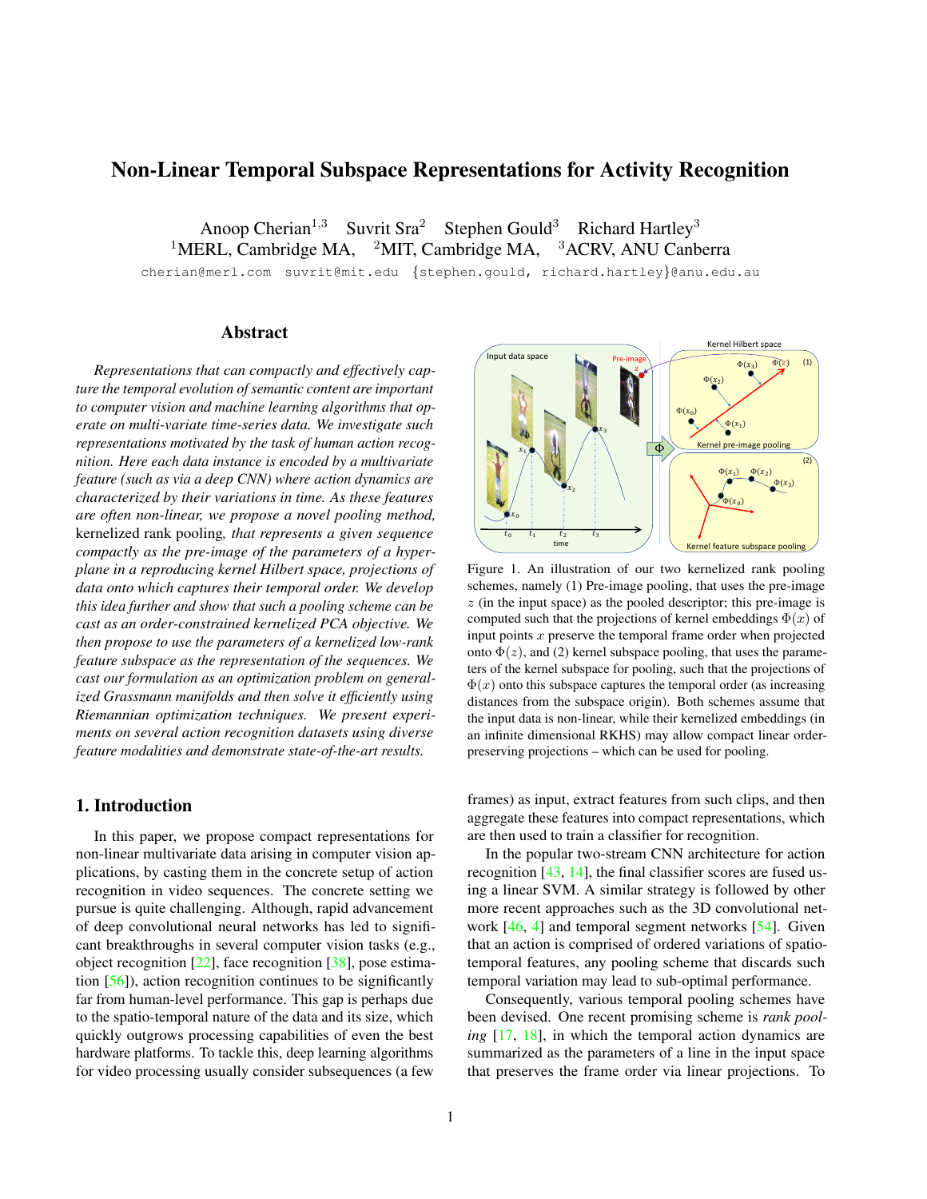# <span id="page-0-0"></span>Non-Linear Temporal Subspace Representations for Activity Recognition

Anoop Cherian<sup>1,3</sup> Suvrit Sra<sup>2</sup> Stephen Gould<sup>3</sup> Richard Hartley<sup>3</sup> <sup>1</sup>MERL, Cambridge MA, <sup>2</sup>MIT, Cambridge MA, <sup>3</sup>ACRV, ANU Canberra

cherian@merl.com suvrit@mit.edu {stephen.gould, richard.hartley}@anu.edu.au

# Abstract

*Representations that can compactly and effectively capture the temporal evolution of semantic content are important to computer vision and machine learning algorithms that operate on multi-variate time-series data. We investigate such representations motivated by the task of human action recognition. Here each data instance is encoded by a multivariate feature (such as via a deep CNN) where action dynamics are characterized by their variations in time. As these features are often non-linear, we propose a novel pooling method,* kernelized rank pooling*, that represents a given sequence compactly as the pre-image of the parameters of a hyperplane in a reproducing kernel Hilbert space, projections of data onto which captures their temporal order. We develop this idea further and show that such a pooling scheme can be cast as an order-constrained kernelized PCA objective. We then propose to use the parameters of a kernelized low-rank feature subspace as the representation of the sequences. We cast our formulation as an optimization problem on generalized Grassmann manifolds and then solve it efficiently using Riemannian optimization techniques. We present experiments on several action recognition datasets using diverse feature modalities and demonstrate state-of-the-art results.*

# 1. Introduction

In this paper, we propose compact representations for non-linear multivariate data arising in computer vision applications, by casting them in the concrete setup of action recognition in video sequences. The concrete setting we pursue is quite challenging. Although, rapid advancement of deep convolutional neural networks has led to significant breakthroughs in several computer vision tasks (e.g., object recognition  $[22]$ , face recognition  $[38]$ , pose estimation [\[56\]](#page-9-0)), action recognition continues to be significantly far from human-level performance. This gap is perhaps due to the spatio-temporal nature of the data and its size, which quickly outgrows processing capabilities of even the best hardware platforms. To tackle this, deep learning algorithms Extending that provided a given sequence of the subsequence of the parameters of a hyper-<br>
compactly as the pre-image of the parameters of a hyper-<br>
plane in a reproducing kernel Hilbert space, projections of<br>
diata onto



Figure 1. An illustration of our two kernelized rank pooling schemes, namely (1) Pre-image pooling, that uses the pre-image  $z$  (in the input space) as the pooled descriptor; this pre-image is computed such that the projections of kernel embeddings  $\Phi(x)$  of input points  $x$  preserve the temporal frame order when projected onto  $\Phi(z)$ , and (2) kernel subspace pooling, that uses the parameters of the kernel subspace for pooling, such that the projections of  $\Phi(x)$  onto this subspace captures the temporal order (as increasing distances from the subspace origin). Both schemes assume that the input data is non-linear, while their kernelized embeddings (in an infinite dimensional RKHS) may allow compact linear orderpreserving projections – which can be used for pooling.

frames) as input, extract features from such clips, and then aggregate these features into compact representations, which are then used to train a classifier for recognition.

In the popular two-stream CNN architecture for action recognition [\[43,](#page-9-1) [14\]](#page-8-2), the final classifier scores are fused using a linear SVM. A similar strategy is followed by other more recent approaches such as the 3D convolutional net-work [\[46,](#page-9-2) [4\]](#page-8-3) and temporal segment networks [\[54\]](#page-9-3). Given that an action is comprised of ordered variations of spatiotemporal features, any pooling scheme that discards such temporal variation may lead to sub-optimal performance.

Consequently, various temporal pooling schemes have been devised. One recent promising scheme is *rank pooling* [\[17,](#page-8-4) [18\]](#page-8-5), in which the temporal action dynamics are summarized as the parameters of a line in the input space that preserves the frame order via linear projections. To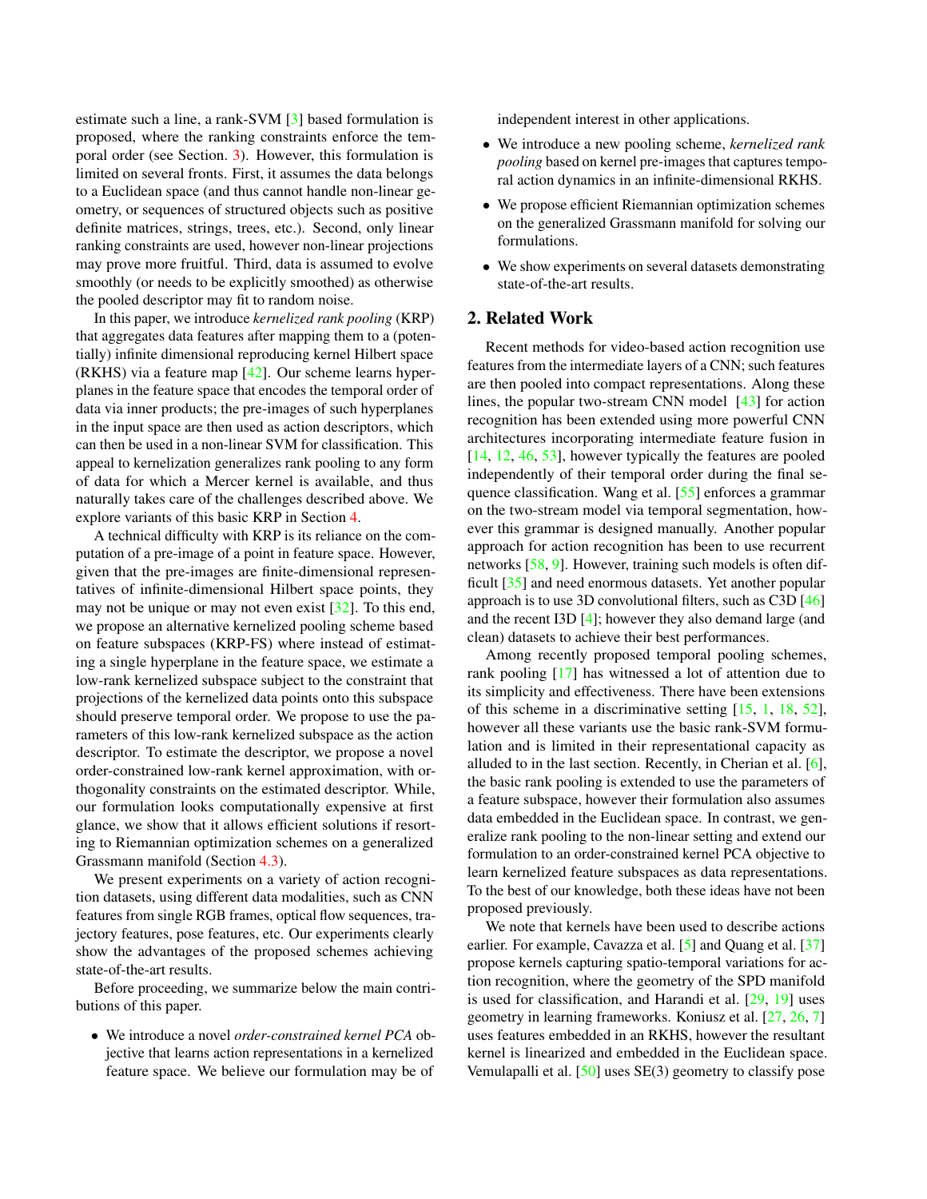<span id="page-1-0"></span>estimate such a line, a rank-SVM [\[3\]](#page-8-6) based formulation is proposed, where the ranking constraints enforce the temporal order (see Section. [3\)](#page-2-0). However, this formulation is limited on several fronts. First, it assumes the data belongs to a Euclidean space (and thus cannot handle non-linear geometry, or sequences of structured objects such as positive definite matrices, strings, trees, etc.). Second, only linear ranking constraints are used, however non-linear projections may prove more fruitful. Third, data is assumed to evolve smoothly (or needs to be explicitly smoothed) as otherwise the pooled descriptor may fit to random noise.

In this paper, we introduce *kernelized rank pooling* (KRP) that aggregates data features after mapping them to a (potentially) infinite dimensional reproducing kernel Hilbert space (RKHS) via a feature map [\[42\]](#page-9-4). Our scheme learns hyperplanes in the feature space that encodes the temporal order of data via inner products; the pre-images of such hyperplanes in the input space are then used as action descriptors, which can then be used in a non-linear SVM for classification. This appeal to kernelization generalizes rank pooling to any form of data for which a Mercer kernel is available, and thus naturally takes care of the challenges described above. We explore variants of this basic KRP in Section [4.](#page-2-1)

A technical difficulty with KRP is its reliance on the computation of a pre-image of a point in feature space. However, given that the pre-images are finite-dimensional representatives of infinite-dimensional Hilbert space points, they may not be unique or may not even exist [\[32\]](#page-8-7). To this end, we propose an alternative kernelized pooling scheme based on feature subspaces (KRP-FS) where instead of estimating a single hyperplane in the feature space, we estimate a low-rank kernelized subspace subject to the constraint that projections of the kernelized data points onto this subspace should preserve temporal order. We propose to use the parameters of this low-rank kernelized subspace as the action descriptor. To estimate the descriptor, we propose a novel order-constrained low-rank kernel approximation, with orthogonality constraints on the estimated descriptor. While, our formulation looks computationally expensive at first glance, we show that it allows efficient solutions if resorting to Riemannian optimization schemes on a generalized Grassmann manifold (Section [4.3\)](#page-4-0).

We present experiments on a variety of action recognition datasets, using different data modalities, such as CNN features from single RGB frames, optical flow sequences, trajectory features, pose features, etc. Our experiments clearly show the advantages of the proposed schemes achieving state-of-the-art results.

Before proceeding, we summarize below the main contributions of this paper.

• We introduce a novel *order-constrained kernel PCA* objective that learns action representations in a kernelized feature space. We believe our formulation may be of independent interest in other applications.

- We introduce a new pooling scheme, *kernelized rank pooling* based on kernel pre-images that captures temporal action dynamics in an infinite-dimensional RKHS.
- We propose efficient Riemannian optimization schemes on the generalized Grassmann manifold for solving our formulations.
- We show experiments on several datasets demonstrating state-of-the-art results.

## 2. Related Work

Recent methods for video-based action recognition use features from the intermediate layers of a CNN; such features are then pooled into compact representations. Along these lines, the popular two-stream CNN model [\[43\]](#page-9-1) for action recognition has been extended using more powerful CNN architectures incorporating intermediate feature fusion in [\[14,](#page-8-2) [12,](#page-8-8) [46,](#page-9-2) [53\]](#page-9-5), however typically the features are pooled independently of their temporal order during the final sequence classification. Wang et al. [\[55\]](#page-9-6) enforces a grammar on the two-stream model via temporal segmentation, however this grammar is designed manually. Another popular approach for action recognition has been to use recurrent networks [\[58,](#page-9-7) [9\]](#page-8-9). However, training such models is often difficult [\[35\]](#page-8-10) and need enormous datasets. Yet another popular approach is to use 3D convolutional filters, such as C3D [\[46\]](#page-9-2) and the recent I3D [\[4\]](#page-8-3); however they also demand large (and clean) datasets to achieve their best performances.

Among recently proposed temporal pooling schemes, rank pooling [\[17\]](#page-8-4) has witnessed a lot of attention due to its simplicity and effectiveness. There have been extensions of this scheme in a discriminative setting [\[15,](#page-8-11) [1,](#page-8-12) [18,](#page-8-5) [52\]](#page-9-8), however all these variants use the basic rank-SVM formulation and is limited in their representational capacity as alluded to in the last section. Recently, in Cherian et al. [\[6\]](#page-8-13), the basic rank pooling is extended to use the parameters of a feature subspace, however their formulation also assumes data embedded in the Euclidean space. In contrast, we generalize rank pooling to the non-linear setting and extend our formulation to an order-constrained kernel PCA objective to learn kernelized feature subspaces as data representations. To the best of our knowledge, both these ideas have not been proposed previously.

We note that kernels have been used to describe actions earlier. For example, Cavazza et al. [\[5\]](#page-8-14) and Quang et al. [\[37\]](#page-8-15) propose kernels capturing spatio-temporal variations for action recognition, where the geometry of the SPD manifold is used for classification, and Harandi et al. [\[29,](#page-8-16) [19\]](#page-8-17) uses geometry in learning frameworks. Koniusz et al. [\[27,](#page-8-18) [26,](#page-8-19) [7\]](#page-8-20) uses features embedded in an RKHS, however the resultant kernel is linearized and embedded in the Euclidean space. Vemulapalli et al. [\[50\]](#page-9-9) uses SE(3) geometry to classify pose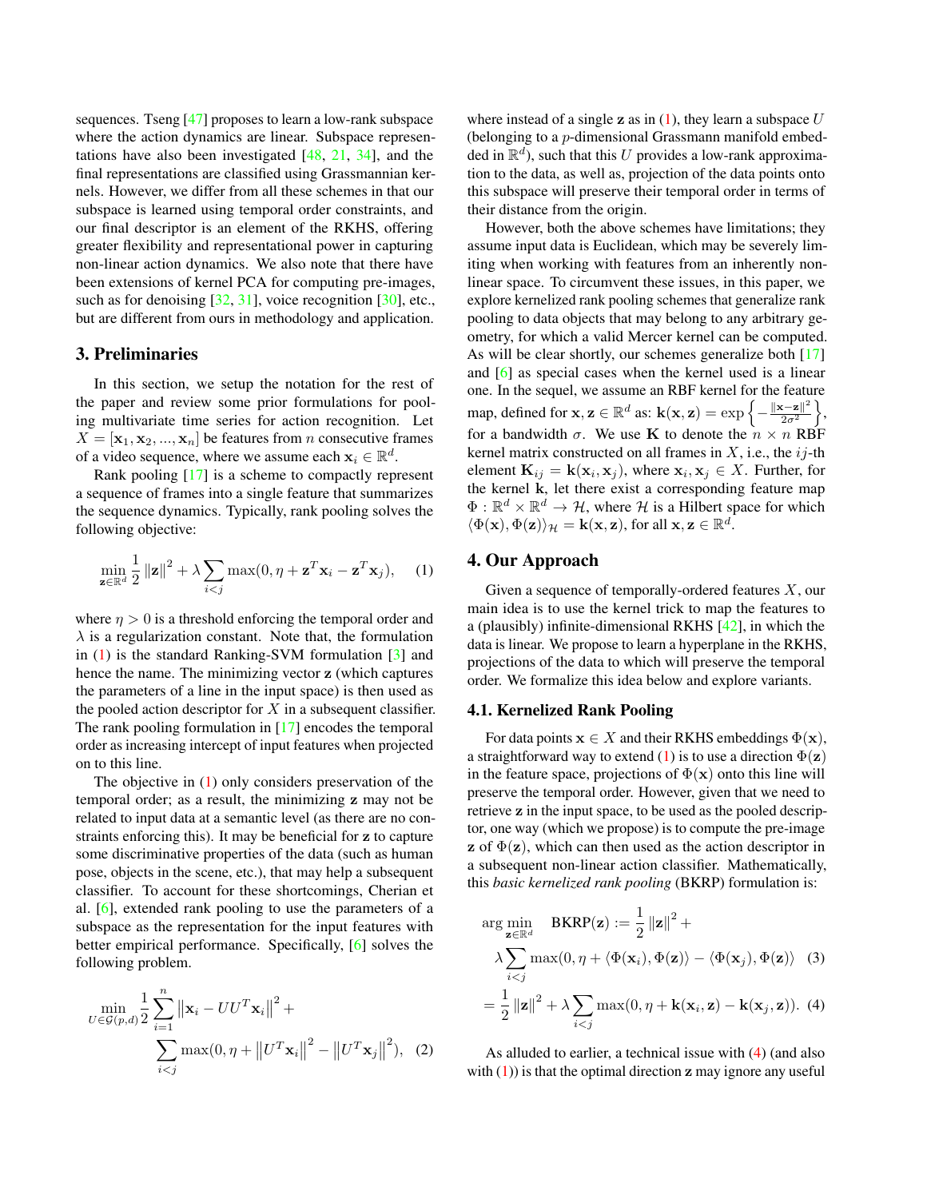<span id="page-2-4"></span>sequences. Tseng [\[47\]](#page-9-10) proposes to learn a low-rank subspace where the action dynamics are linear. Subspace representations have also been investigated [\[48,](#page-9-11) [21,](#page-8-21) [34\]](#page-8-22), and the final representations are classified using Grassmannian kernels. However, we differ from all these schemes in that our subspace is learned using temporal order constraints, and our final descriptor is an element of the RKHS, offering greater flexibility and representational power in capturing non-linear action dynamics. We also note that there have been extensions of kernel PCA for computing pre-images, such as for denoising [\[32,](#page-8-7) [31\]](#page-8-23), voice recognition [\[30\]](#page-8-24), etc., but are different from ours in methodology and application.

#### <span id="page-2-0"></span>3. Preliminaries

In this section, we setup the notation for the rest of the paper and review some prior formulations for pooling multivariate time series for action recognition. Let  $X = [\mathbf{x}_1, \mathbf{x}_2, ..., \mathbf{x}_n]$  be features from *n* consecutive frames of a video sequence, where we assume each  $x_i \in \mathbb{R}^d$ .

Rank pooling [\[17\]](#page-8-4) is a scheme to compactly represent a sequence of frames into a single feature that summarizes the sequence dynamics. Typically, rank pooling solves the following objective:

<span id="page-2-2"></span>
$$
\min_{\mathbf{z}\in\mathbb{R}^d} \frac{1}{2} \left\|\mathbf{z}\right\|^2 + \lambda \sum_{i < j} \max(0, \eta + \mathbf{z}^T \mathbf{x}_i - \mathbf{z}^T \mathbf{x}_j), \quad (1)
$$

where  $\eta > 0$  is a threshold enforcing the temporal order and  $\lambda$  is a regularization constant. Note that, the formulation in [\(1\)](#page-2-2) is the standard Ranking-SVM formulation [\[3\]](#page-8-6) and hence the name. The minimizing vector z (which captures the parameters of a line in the input space) is then used as the pooled action descriptor for  $X$  in a subsequent classifier. The rank pooling formulation in [\[17\]](#page-8-4) encodes the temporal order as increasing intercept of input features when projected on to this line.

The objective in [\(1\)](#page-2-2) only considers preservation of the temporal order; as a result, the minimizing z may not be related to input data at a semantic level (as there are no constraints enforcing this). It may be beneficial for z to capture some discriminative properties of the data (such as human pose, objects in the scene, etc.), that may help a subsequent classifier. To account for these shortcomings, Cherian et al. [\[6\]](#page-8-13), extended rank pooling to use the parameters of a subspace as the representation for the input features with better empirical performance. Specifically, [\[6\]](#page-8-13) solves the following problem.

$$
\min_{U \in \mathcal{G}(p,d)} \frac{1}{2} \sum_{i=1}^{n} ||\mathbf{x}_i - U U^T \mathbf{x}_i||^2 + \sum_{i < j} \max(0, \eta + ||U^T \mathbf{x}_i||^2 - ||U^T \mathbf{x}_j||^2), \quad (2)
$$

where instead of a single z as in  $(1)$ , they learn a subspace U (belonging to a p-dimensional Grassmann manifold embedded in  $\mathbb{R}^d$ ), such that this U provides a low-rank approximation to the data, as well as, projection of the data points onto this subspace will preserve their temporal order in terms of their distance from the origin.

However, both the above schemes have limitations; they assume input data is Euclidean, which may be severely limiting when working with features from an inherently nonlinear space. To circumvent these issues, in this paper, we explore kernelized rank pooling schemes that generalize rank pooling to data objects that may belong to any arbitrary geometry, for which a valid Mercer kernel can be computed. As will be clear shortly, our schemes generalize both [\[17\]](#page-8-4) and [\[6\]](#page-8-13) as special cases when the kernel used is a linear one. In the sequel, we assume an RBF kernel for the feature map, defined for  $\mathbf{x}, \mathbf{z} \in \mathbb{R}^d$  as:  $\mathbf{k}(\mathbf{x}, \mathbf{z}) = \exp \left\{-\frac{\|\mathbf{x} - \mathbf{z}\|^2}{2\sigma^2}\right\}$  $\frac{\|\mathbf{z}-\mathbf{z}\|^2}{2\sigma^2}\bigg\},$ for a bandwidth  $\sigma$ . We use **K** to denote the  $n \times n$  RBF kernel matrix constructed on all frames in  $X$ , i.e., the  $ij$ -th element  $\mathbf{K}_{ij} = \mathbf{k}(\mathbf{x}_i, \mathbf{x}_j)$ , where  $\mathbf{x}_i, \mathbf{x}_j \in X$ . Further, for the kernel k, let there exist a corresponding feature map  $\Phi: \mathbb{R}^d \times \mathbb{R}^d \to \mathcal{H}$ , where  $\mathcal H$  is a Hilbert space for which  $\langle \Phi(\mathbf{x}), \Phi(\mathbf{z}) \rangle_{\mathcal{H}} = \mathbf{k}(\mathbf{x}, \mathbf{z})$ , for all  $\mathbf{x}, \mathbf{z} \in \mathbb{R}^d$ .

# <span id="page-2-1"></span>4. Our Approach

Given a sequence of temporally-ordered features  $X$ , our main idea is to use the kernel trick to map the features to a (plausibly) infinite-dimensional RKHS [\[42\]](#page-9-4), in which the data is linear. We propose to learn a hyperplane in the RKHS, projections of the data to which will preserve the temporal order. We formalize this idea below and explore variants.

#### 4.1. Kernelized Rank Pooling

For data points  $x \in X$  and their RKHS embeddings  $\Phi(x)$ , a straightforward way to extend [\(1\)](#page-2-2) is to use a direction  $\Phi(\mathbf{z})$ in the feature space, projections of  $\Phi(\mathbf{x})$  onto this line will preserve the temporal order. However, given that we need to retrieve z in the input space, to be used as the pooled descriptor, one way (which we propose) is to compute the pre-image z of  $\Phi(\mathbf{z})$ , which can then used as the action descriptor in a subsequent non-linear action classifier. Mathematically, this *basic kernelized rank pooling* (BKRP) formulation is:

$$
\arg\min_{\mathbf{z}\in\mathbb{R}^d} \quad \text{BKRP}(\mathbf{z}) := \frac{1}{2} ||\mathbf{z}||^2 +
$$
  

$$
\lambda \sum_{i < j} \max(0, \eta + \langle \Phi(\mathbf{x}_i), \Phi(\mathbf{z}) \rangle - \langle \Phi(\mathbf{x}_j), \Phi(\mathbf{z}) \rangle \quad (3)
$$
  

$$
= \frac{1}{2} ||\mathbf{z}||^2 + \lambda \sum_{i < j} \max(0, \eta + \mathbf{k}(\mathbf{x}_i, \mathbf{z}) - \mathbf{k}(\mathbf{x}_j, \mathbf{z})). \quad (4)
$$

As alluded to earlier, a technical issue with [\(4\)](#page-2-3) (and also with  $(1)$ ) is that the optimal direction z may ignore any useful

<span id="page-2-3"></span> $i < j$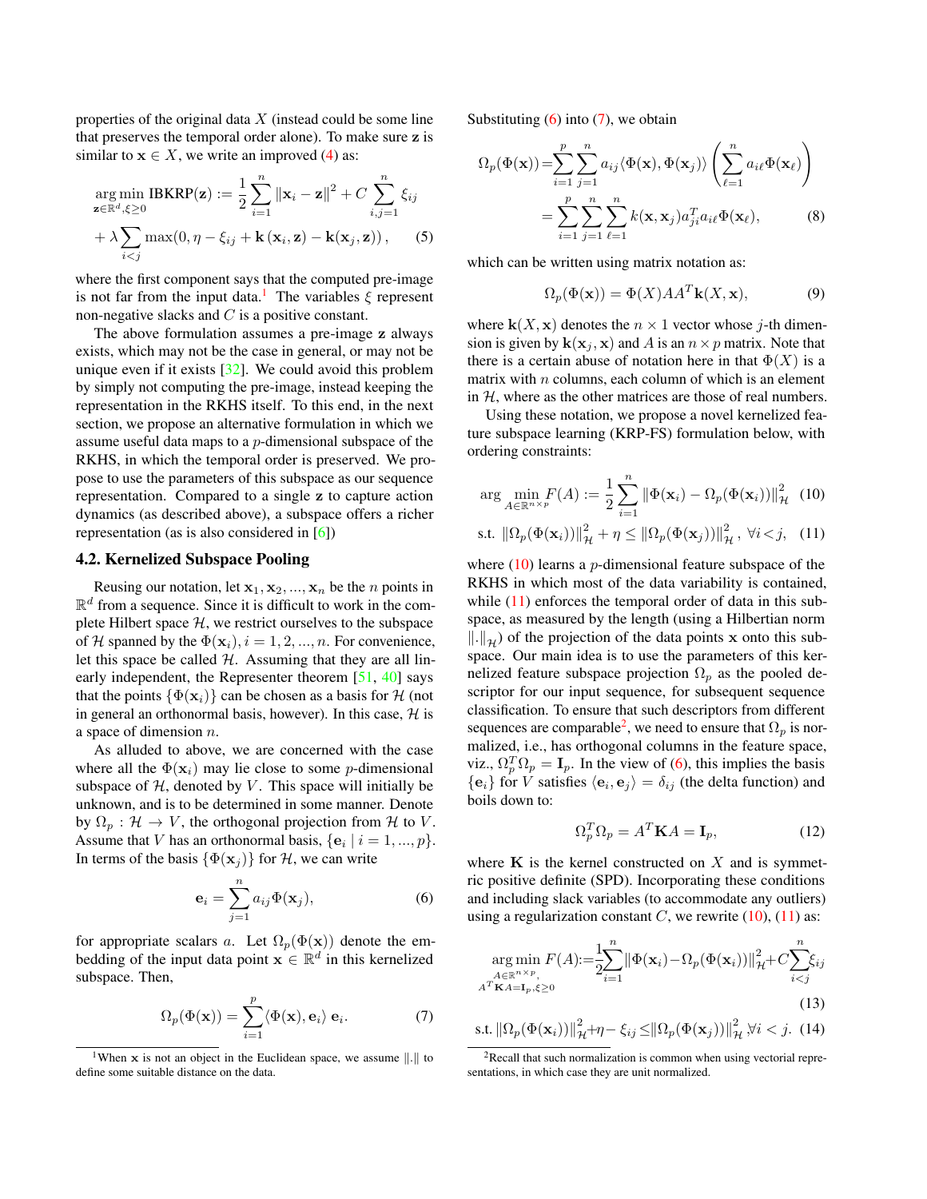<span id="page-3-8"></span>properties of the original data  $X$  (instead could be some line that preserves the temporal order alone). To make sure z is similar to  $x \in X$ , we write an improved [\(4\)](#page-2-3) as:

$$
\underset{\mathbf{z} \in \mathbb{R}^d, \xi \ge 0}{\arg \min} \text{IBKRP}(\mathbf{z}) := \frac{1}{2} \sum_{i=1}^n ||\mathbf{x}_i - \mathbf{z}||^2 + C \sum_{i,j=1}^n \xi_{ij}
$$

$$
+ \lambda \sum_{i < j} \max(0, \eta - \xi_{ij} + \mathbf{k}(\mathbf{x}_i, \mathbf{z}) - \mathbf{k}(\mathbf{x}_j, \mathbf{z})), \quad (5)
$$

where the first component says that the computed pre-image is not far from the input data.<sup>[1](#page-3-0)</sup> The variables  $\xi$  represent non-negative slacks and  $C$  is a positive constant.

The above formulation assumes a pre-image z always exists, which may not be the case in general, or may not be unique even if it exists [\[32\]](#page-8-7). We could avoid this problem by simply not computing the pre-image, instead keeping the representation in the RKHS itself. To this end, in the next section, we propose an alternative formulation in which we assume useful data maps to a p-dimensional subspace of the RKHS, in which the temporal order is preserved. We propose to use the parameters of this subspace as our sequence representation. Compared to a single z to capture action dynamics (as described above), a subspace offers a richer representation (as is also considered in [\[6\]](#page-8-13))

#### 4.2. Kernelized Subspace Pooling

Reusing our notation, let  $x_1, x_2, ..., x_n$  be the *n* points in  $\mathbb{R}^d$  from a sequence. Since it is difficult to work in the complete Hilbert space  $H$ , we restrict ourselves to the subspace of H spanned by the  $\Phi(\mathbf{x}_i)$ ,  $i = 1, 2, ..., n$ . For convenience, let this space be called  $H$ . Assuming that they are all linearly independent, the Representer theorem [\[51,](#page-9-12) [40\]](#page-9-13) says that the points  $\{\Phi(\mathbf{x}_i)\}\)$  can be chosen as a basis for H (not in general an orthonormal basis, however). In this case,  $H$  is a space of dimension n.

As alluded to above, we are concerned with the case where all the  $\Phi(\mathbf{x}_i)$  may lie close to some *p*-dimensional subspace of  $H$ , denoted by V. This space will initially be unknown, and is to be determined in some manner. Denote by  $\Omega_p : \mathcal{H} \to V$ , the orthogonal projection from  $\mathcal{H}$  to V. Assume that V has an orthonormal basis,  $\{e_i \mid i = 1, ..., p\}$ . In terms of the basis  $\{\Phi(\mathbf{x}_i)\}\$ for H, we can write

<span id="page-3-1"></span>
$$
\mathbf{e}_i = \sum_{j=1}^n a_{ij} \Phi(\mathbf{x}_j),\tag{6}
$$

for appropriate scalars a. Let  $\Omega_p(\Phi(\mathbf{x}))$  denote the embedding of the input data point  $\mathbf{x} \in \mathbb{R}^d$  in this kernelized subspace. Then,

<span id="page-3-2"></span>
$$
\Omega_p(\Phi(\mathbf{x})) = \sum_{i=1}^p \langle \Phi(\mathbf{x}), \mathbf{e}_i \rangle \mathbf{e}_i.
$$
 (7)

Substituting  $(6)$  into  $(7)$ , we obtain

$$
\Omega_p(\Phi(\mathbf{x})) = \sum_{i=1}^p \sum_{j=1}^n a_{ij} \langle \Phi(\mathbf{x}), \Phi(\mathbf{x}_j) \rangle \left( \sum_{\ell=1}^n a_{i\ell} \Phi(\mathbf{x}_\ell) \right)
$$
  
= 
$$
\sum_{i=1}^p \sum_{j=1}^n \sum_{\ell=1}^n k(\mathbf{x}, \mathbf{x}_j) a_{ji}^T a_{i\ell} \Phi(\mathbf{x}_\ell),
$$
 (8)

which can be written using matrix notation as:

<span id="page-3-3"></span>
$$
\Omega_p(\Phi(\mathbf{x})) = \Phi(X) A A^T \mathbf{k}(X, \mathbf{x}),\tag{9}
$$

where  $\mathbf{k}(X, \mathbf{x})$  denotes the  $n \times 1$  vector whose j-th dimension is given by  $\mathbf{k}(\mathbf{x}_i, \mathbf{x})$  and A is an  $n \times p$  matrix. Note that there is a certain abuse of notation here in that  $\Phi(X)$  is a matrix with  $n$  columns, each column of which is an element in  $H$ , where as the other matrices are those of real numbers.

Using these notation, we propose a novel kernelized feature subspace learning (KRP-FS) formulation below, with ordering constraints:

<span id="page-3-4"></span>
$$
\arg\min_{A\in\mathbb{R}^{n\times p}} F(A) := \frac{1}{2} \sum_{i=1}^{n} \|\Phi(\mathbf{x}_i) - \Omega_p(\Phi(\mathbf{x}_i))\|_{\mathcal{H}}^2 \tag{10}
$$

$$
\text{s.t. } \|\Omega_p(\Phi(\mathbf{x}_i))\|_{\mathcal{H}}^2 + \eta \le \|\Omega_p(\Phi(\mathbf{x}_j))\|_{\mathcal{H}}^2, \ \forall i \le j, \quad (11)
$$

where  $(10)$  learns a *p*-dimensional feature subspace of the RKHS in which most of the data variability is contained, while  $(11)$  enforces the temporal order of data in this subspace, as measured by the length (using a Hilbertian norm  $\Vert . \Vert_{\mathcal{H}}$  of the projection of the data points x onto this subspace. Our main idea is to use the parameters of this kernelized feature subspace projection  $\Omega_p$  as the pooled descriptor for our input sequence, for subsequent sequence classification. To ensure that such descriptors from different sequences are comparable<sup>[2](#page-3-5)</sup>, we need to ensure that  $\Omega_p$  is normalized, i.e., has orthogonal columns in the feature space, viz.,  $\Omega_p^T \Omega_p = I_p$ . In the view of [\(6\)](#page-3-1), this implies the basis  ${e_i}$  for V satisfies  $\langle e_i, e_j \rangle = \delta_{ij}$  (the delta function) and boils down to:

<span id="page-3-7"></span><span id="page-3-6"></span>
$$
\Omega_p^T \Omega_p = A^T \mathbf{K} A = \mathbf{I}_p,\tag{12}
$$

where  $K$  is the kernel constructed on  $X$  and is symmetric positive definite (SPD). Incorporating these conditions and including slack variables (to accommodate any outliers) using a regularization constant  $C$ , we rewrite [\(10\)](#page-3-3), [\(11\)](#page-3-4) as:

$$
\underset{A^T \mathbf{K} A = \mathbf{I}_p, \xi \ge 0}{\arg \min} F(A) := \frac{1}{2} \sum_{i=1}^n \left\| \Phi(\mathbf{x}_i) - \Omega_p(\Phi(\mathbf{x}_i)) \right\|_{\mathcal{H}}^2 + C \sum_{i < j}^n \xi_{ij}
$$
\n(13)

$$
\text{s.t. } \|\Omega_p(\Phi(\mathbf{x}_i))\|_{\mathcal{H}}^2 + \eta - \xi_{ij} \le \|\Omega_p(\Phi(\mathbf{x}_j))\|_{\mathcal{H}}^2 \ \forall i < j. \tag{14}
$$

<span id="page-3-0"></span><sup>&</sup>lt;sup>1</sup>When  $x$  is not an object in the Euclidean space, we assume  $\Vert . \Vert$  to define some suitable distance on the data.

<span id="page-3-5"></span><sup>&</sup>lt;sup>2</sup>Recall that such normalization is common when using vectorial representations, in which case they are unit normalized.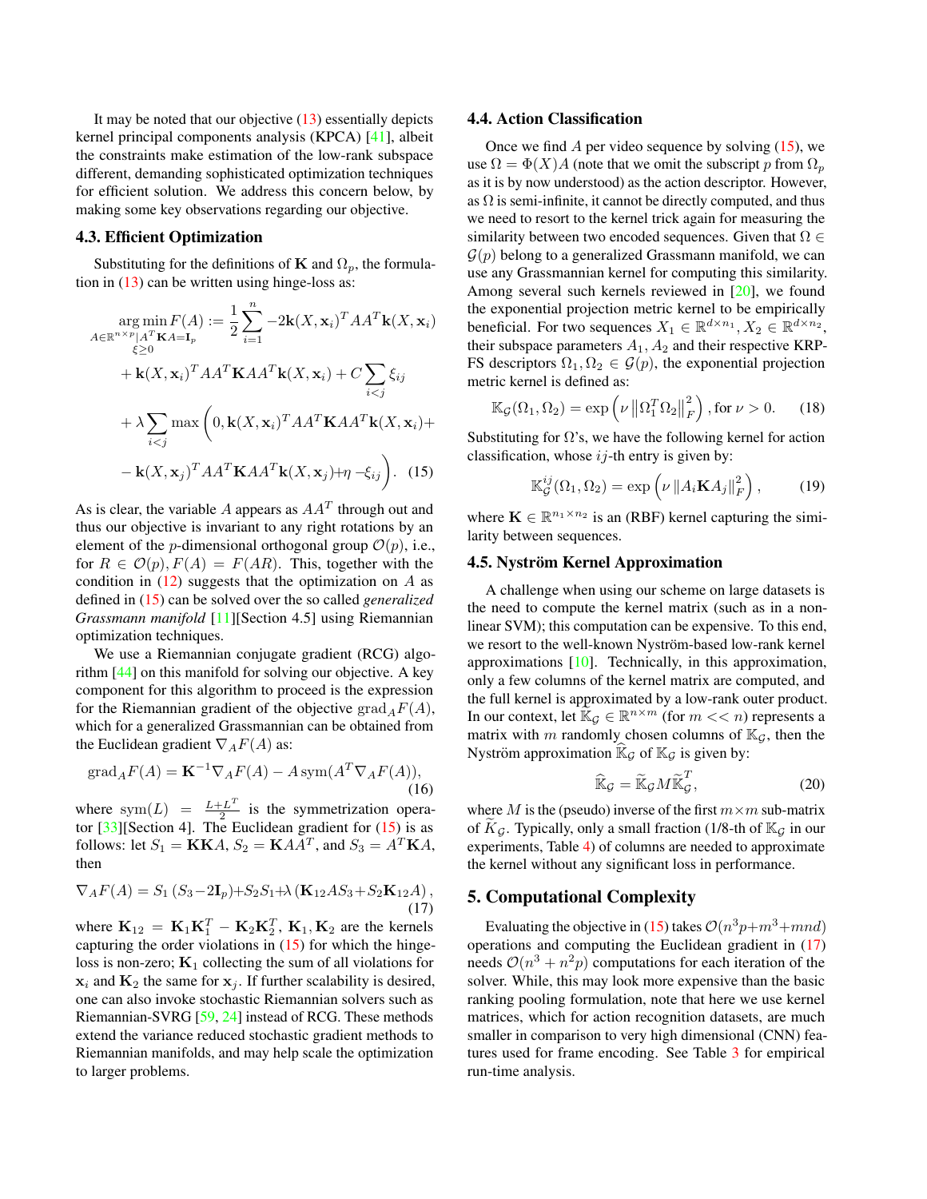<span id="page-4-3"></span>It may be noted that our objective  $(13)$  essentially depicts kernel principal components analysis (KPCA) [\[41\]](#page-9-14), albeit the constraints make estimation of the low-rank subspace different, demanding sophisticated optimization techniques for efficient solution. We address this concern below, by making some key observations regarding our objective.

#### <span id="page-4-0"></span>4.3. Efficient Optimization

Substituting for the definitions of **K** and  $\Omega_p$ , the formulation in [\(13\)](#page-3-6) can be written using hinge-loss as:

$$
\arg\min_{A \in \mathbb{R}^{n \times p} | A^T \mathbf{K} A = \mathbf{I}_p} F(A) := \frac{1}{2} \sum_{i=1}^n -2\mathbf{k}(X, \mathbf{x}_i)^T A A^T \mathbf{k}(X, \mathbf{x}_i)
$$
  
+  $\mathbf{k}(X, \mathbf{x}_i)^T A A^T \mathbf{K} A A^T \mathbf{k}(X, \mathbf{x}_i) + C \sum_{i < j} \xi_{ij}$   
+  $\lambda \sum_{i < j} \max\left(0, \mathbf{k}(X, \mathbf{x}_i)^T A A^T \mathbf{K} A A^T \mathbf{k}(X, \mathbf{x}_i) + \right.$   
-  $\mathbf{k}(X, \mathbf{x}_j)^T A A^T \mathbf{K} A A^T \mathbf{k}(X, \mathbf{x}_j) + \eta - \xi_{ij}\right).$  (15)

As is clear, the variable A appears as  $AA<sup>T</sup>$  through out and thus our objective is invariant to any right rotations by an element of the *p*-dimensional orthogonal group  $\mathcal{O}(p)$ , i.e., for  $R \in \mathcal{O}(p)$ ,  $F(A) = F(AR)$ . This, together with the condition in  $(12)$  suggests that the optimization on A as defined in [\(15\)](#page-4-1) can be solved over the so called *generalized Grassmann manifold* [\[11\]](#page-8-25)[Section 4.5] using Riemannian optimization techniques.

We use a Riemannian conjugate gradient (RCG) algorithm [\[44\]](#page-9-15) on this manifold for solving our objective. A key component for this algorithm to proceed is the expression for the Riemannian gradient of the objective grad  $_AF(A)$ , which for a generalized Grassmannian can be obtained from the Euclidean gradient  $\nabla_A F(A)$  as:

$$
\operatorname{grad}_{A} F(A) = \mathbf{K}^{-1} \nabla_{A} F(A) - A \operatorname{sym}(A^{T} \nabla_{A} F(A)),
$$
\n(16)

where sym $(L) = \frac{L + L^{T}}{2}$  $\frac{L}{2}$  is the symmetrization operator  $[33]$ [Section 4]. The Euclidean gradient for  $(15)$  is as follows: let  $S_1 = \mathbf{K} \mathbf{K} A$ ,  $S_2 = \mathbf{K} A A^T$ , and  $S_3 = A^T \mathbf{K} A$ , then

<span id="page-4-2"></span>
$$
\nabla_A F(A) = S_1 (S_3 - 2\mathbf{I}_p) + S_2 S_1 + \lambda (\mathbf{K}_{12} A S_3 + S_2 \mathbf{K}_{12} A),
$$
\n(17)

where  $\mathbf{K}_{12} = \mathbf{K}_1 \mathbf{K}_1^T - \mathbf{K}_2 \mathbf{K}_2^T$ ,  $\mathbf{K}_1, \mathbf{K}_2$  are the kernels capturing the order violations in [\(15\)](#page-4-1) for which the hingeloss is non-zero;  $K_1$  collecting the sum of all violations for  $x_i$  and  $K_2$  the same for  $x_j$ . If further scalability is desired, one can also invoke stochastic Riemannian solvers such as Riemannian-SVRG [\[59,](#page-9-16) [24\]](#page-8-27) instead of RCG. These methods extend the variance reduced stochastic gradient methods to Riemannian manifolds, and may help scale the optimization to larger problems.

#### 4.4. Action Classification

Once we find A per video sequence by solving  $(15)$ , we use  $\Omega = \Phi(X)A$  (note that we omit the subscript p from  $\Omega_p$ ) as it is by now understood) as the action descriptor. However, as  $\Omega$  is semi-infinite, it cannot be directly computed, and thus we need to resort to the kernel trick again for measuring the similarity between two encoded sequences. Given that  $\Omega \in$  $G(p)$  belong to a generalized Grassmann manifold, we can use any Grassmannian kernel for computing this similarity. Among several such kernels reviewed in [\[20\]](#page-8-28), we found the exponential projection metric kernel to be empirically beneficial. For two sequences  $X_1 \in \mathbb{R}^{d \times n_1}, X_2 \in \mathbb{R}^{d \times n_2}$ , their subspace parameters  $A_1$ ,  $A_2$  and their respective KRP-FS descriptors  $\Omega_1, \Omega_2 \in \mathcal{G}(p)$ , the exponential projection metric kernel is defined as:

$$
\mathbb{K}_{\mathcal{G}}(\Omega_1, \Omega_2) = \exp\left(\nu \left\| \Omega_1^T \Omega_2 \right\|_F^2\right), \text{for } \nu > 0. \tag{18}
$$

<span id="page-4-1"></span>Substituting for  $\Omega$ 's, we have the following kernel for action classification, whose  $ij$ -th entry is given by:

$$
\mathbb{K}_{\mathcal{G}}^{ij}(\Omega_1, \Omega_2) = \exp\left(\nu \left\|A_i \mathbf{K} A_j\right\|_F^2\right),\tag{19}
$$

where  $\mathbf{K} \in \mathbb{R}^{n_1 \times n_2}$  is an (RBF) kernel capturing the similarity between sequences.

#### 4.5. Nyström Kernel Approximation

A challenge when using our scheme on large datasets is the need to compute the kernel matrix (such as in a nonlinear SVM); this computation can be expensive. To this end, we resort to the well-known Nyström-based low-rank kernel approximations [\[10\]](#page-8-29). Technically, in this approximation, only a few columns of the kernel matrix are computed, and the full kernel is approximated by a low-rank outer product. In our context, let  $\mathbb{K}_{\mathcal{G}} \in \mathbb{R}^{n \times m}$  (for  $m \ll n$ ) represents a matrix with m randomly chosen columns of  $\mathbb{K}_G$ , then the Nyström approximation  $\mathbb{K}_G$  of  $\mathbb{K}_G$  is given by:

$$
\widehat{\mathbb{K}}_{\mathcal{G}} = \widetilde{\mathbb{K}}_{\mathcal{G}} M \widetilde{\mathbb{K}}_{\mathcal{G}}^T, \tag{20}
$$

where M is the (pseudo) inverse of the first  $m \times m$  sub-matrix of  $K_{\mathcal{G}}$ . Typically, only a small fraction (1/8-th of  $\mathbb{K}_{\mathcal{G}}$  in our experiments, Table [4\)](#page-6-0) of columns are needed to approximate the kernel without any significant loss in performance.

## 5. Computational Complexity

Evaluating the objective in [\(15\)](#page-4-1) takes  $\mathcal{O}(n^3p + m^3 + mnd)$ operations and computing the Euclidean gradient in [\(17\)](#page-4-2) needs  $\mathcal{O}(n^3 + n^2p)$  computations for each iteration of the solver. While, this may look more expensive than the basic ranking pooling formulation, note that here we use kernel matrices, which for action recognition datasets, are much smaller in comparison to very high dimensional (CNN) features used for frame encoding. See Table [3](#page-6-1) for empirical run-time analysis.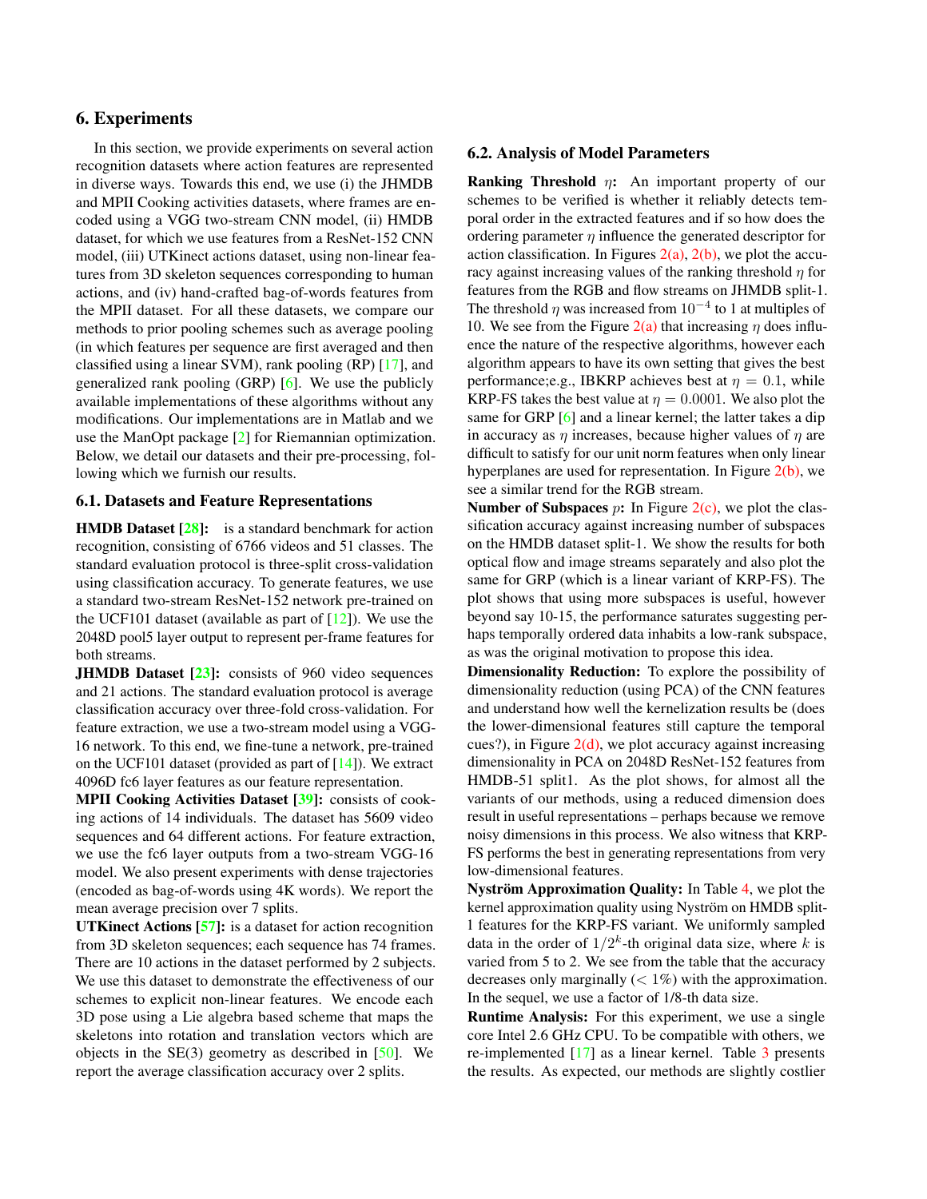# <span id="page-5-0"></span>6. Experiments

In this section, we provide experiments on several action recognition datasets where action features are represented in diverse ways. Towards this end, we use (i) the JHMDB and MPII Cooking activities datasets, where frames are encoded using a VGG two-stream CNN model, (ii) HMDB dataset, for which we use features from a ResNet-152 CNN model, (iii) UTKinect actions dataset, using non-linear features from 3D skeleton sequences corresponding to human actions, and (iv) hand-crafted bag-of-words features from the MPII dataset. For all these datasets, we compare our methods to prior pooling schemes such as average pooling (in which features per sequence are first averaged and then classified using a linear SVM), rank pooling (RP) [\[17\]](#page-8-4), and generalized rank pooling (GRP) [\[6\]](#page-8-13). We use the publicly available implementations of these algorithms without any modifications. Our implementations are in Matlab and we use the ManOpt package [\[2\]](#page-8-30) for Riemannian optimization. Below, we detail our datasets and their pre-processing, following which we furnish our results.

#### 6.1. Datasets and Feature Representations

HMDB Dataset [\[28\]](#page-8-31): is a standard benchmark for action recognition, consisting of 6766 videos and 51 classes. The standard evaluation protocol is three-split cross-validation using classification accuracy. To generate features, we use a standard two-stream ResNet-152 network pre-trained on the UCF101 dataset (available as part of  $[12]$ ). We use the 2048D pool5 layer output to represent per-frame features for both streams.

**JHMDB Dataset [\[23\]](#page-8-32):** consists of 960 video sequences and 21 actions. The standard evaluation protocol is average classification accuracy over three-fold cross-validation. For feature extraction, we use a two-stream model using a VGG-16 network. To this end, we fine-tune a network, pre-trained on the UCF101 dataset (provided as part of [\[14\]](#page-8-2)). We extract 4096D fc6 layer features as our feature representation.

MPII Cooking Activities Dataset [\[39\]](#page-9-17): consists of cooking actions of 14 individuals. The dataset has 5609 video sequences and 64 different actions. For feature extraction, we use the fc6 layer outputs from a two-stream VGG-16 model. We also present experiments with dense trajectories (encoded as bag-of-words using 4K words). We report the mean average precision over 7 splits.

UTKinect Actions [\[57\]](#page-9-18): is a dataset for action recognition from 3D skeleton sequences; each sequence has 74 frames. There are 10 actions in the dataset performed by 2 subjects. We use this dataset to demonstrate the effectiveness of our schemes to explicit non-linear features. We encode each 3D pose using a Lie algebra based scheme that maps the skeletons into rotation and translation vectors which are objects in the  $SE(3)$  geometry as described in [\[50\]](#page-9-9). We report the average classification accuracy over 2 splits.

#### 6.2. Analysis of Model Parameters

**Ranking Threshold**  $\eta$ : An important property of our schemes to be verified is whether it reliably detects temporal order in the extracted features and if so how does the ordering parameter  $\eta$  influence the generated descriptor for action classification. In Figures  $2(a)$ ,  $2(b)$ , we plot the accuracy against increasing values of the ranking threshold  $\eta$  for features from the RGB and flow streams on JHMDB split-1. The threshold  $\eta$  was increased from  $10^{-4}$  to 1 at multiples of 10. We see from the Figure  $2(a)$  that increasing  $\eta$  does influence the nature of the respective algorithms, however each algorithm appears to have its own setting that gives the best performance;e.g., IBKRP achieves best at  $\eta = 0.1$ , while KRP-FS takes the best value at  $\eta = 0.0001$ . We also plot the same for GRP [\[6\]](#page-8-13) and a linear kernel; the latter takes a dip in accuracy as  $\eta$  increases, because higher values of  $\eta$  are difficult to satisfy for our unit norm features when only linear hyperplanes are used for representation. In Figure  $2(b)$ , we see a similar trend for the RGB stream.

Number of Subspaces  $p$ : In Figure  $2(c)$ , we plot the classification accuracy against increasing number of subspaces on the HMDB dataset split-1. We show the results for both optical flow and image streams separately and also plot the same for GRP (which is a linear variant of KRP-FS). The plot shows that using more subspaces is useful, however beyond say 10-15, the performance saturates suggesting perhaps temporally ordered data inhabits a low-rank subspace, as was the original motivation to propose this idea.

Dimensionality Reduction: To explore the possibility of dimensionality reduction (using PCA) of the CNN features and understand how well the kernelization results be (does the lower-dimensional features still capture the temporal cues?), in Figure  $2(d)$ , we plot accuracy against increasing dimensionality in PCA on 2048D ResNet-152 features from HMDB-51 split1. As the plot shows, for almost all the variants of our methods, using a reduced dimension does result in useful representations – perhaps because we remove noisy dimensions in this process. We also witness that KRP-FS performs the best in generating representations from very low-dimensional features.

Nyström Approximation Quality: In Table  $4$ , we plot the kernel approximation quality using Nyström on HMDB split-1 features for the KRP-FS variant. We uniformly sampled data in the order of  $1/2^k$ -th original data size, where k is varied from 5 to 2. We see from the table that the accuracy decreases only marginally  $(< 1\%)$  with the approximation. In the sequel, we use a factor of 1/8-th data size.

Runtime Analysis: For this experiment, we use a single core Intel 2.6 GHz CPU. To be compatible with others, we re-implemented [\[17\]](#page-8-4) as a linear kernel. Table [3](#page-6-1) presents the results. As expected, our methods are slightly costlier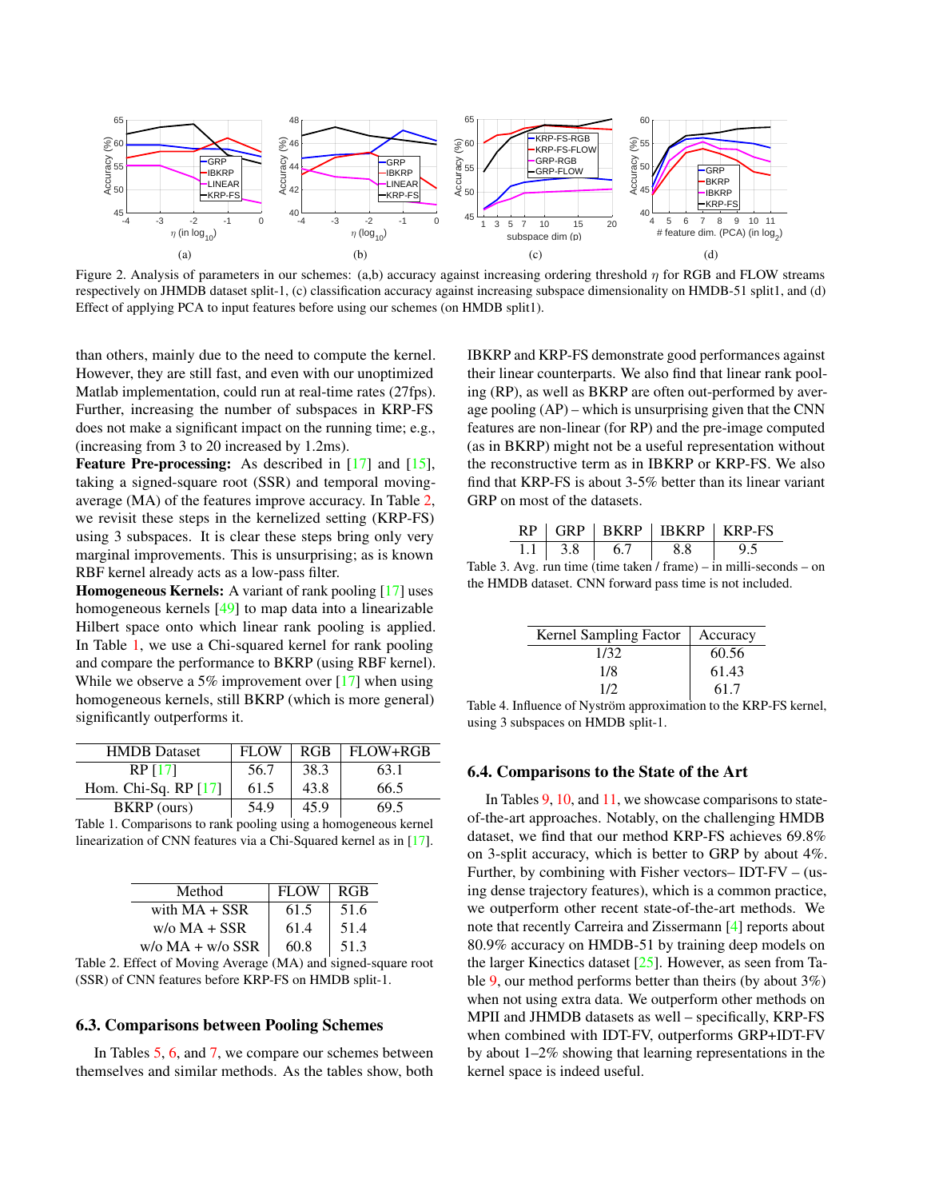<span id="page-6-8"></span><span id="page-6-2"></span>

<span id="page-6-3"></span>Figure 2. Analysis of parameters in our schemes: (a,b) accuracy against increasing ordering threshold  $\eta$  for RGB and FLOW streams respectively on JHMDB dataset split-1, (c) classification accuracy against increasing subspace dimensionality on HMDB-51 split1, and (d) Effect of applying PCA to input features before using our schemes (on HMDB split1).

than others, mainly due to the need to compute the kernel. However, they are still fast, and even with our unoptimized Matlab implementation, could run at real-time rates (27fps). Further, increasing the number of subspaces in KRP-FS does not make a significant impact on the running time; e.g., (increasing from 3 to 20 increased by 1.2ms).

Feature Pre-processing: As described in [\[17\]](#page-8-4) and [\[15\]](#page-8-11), taking a signed-square root (SSR) and temporal movingaverage (MA) of the features improve accuracy. In Table [2,](#page-6-6) we revisit these steps in the kernelized setting (KRP-FS) using 3 subspaces. It is clear these steps bring only very marginal improvements. This is unsurprising; as is known RBF kernel already acts as a low-pass filter.

Homogeneous Kernels: A variant of rank pooling [\[17\]](#page-8-4) uses homogeneous kernels [\[49\]](#page-9-19) to map data into a linearizable Hilbert space onto which linear rank pooling is applied. In Table [1,](#page-6-7) we use a Chi-squared kernel for rank pooling and compare the performance to BKRP (using RBF kernel). While we observe a 5% improvement over  $[17]$  when using homogeneous kernels, still BKRP (which is more general) significantly outperforms it.

| <b>HMDB</b> Dataset    | <b>FLOW</b> | <b>RGB</b> | FLOW+RGB |
|------------------------|-------------|------------|----------|
| RP [17]                | 56.7        | 38.3       | 63.1     |
| Hom. Chi-Sq. $RP$ [17] | 61.5        | 43.8       | 66.5     |
| <b>BKRP</b> (ours)     | 54.9        | 45.9       | 69.5     |

<span id="page-6-7"></span>Table 1. Comparisons to rank pooling using a homogeneous kernel linearization of CNN features via a Chi-Squared kernel as in [\[17\]](#page-8-4).

| Method                 | <b>FLOW</b> | <b>RGB</b> |
|------------------------|-------------|------------|
| with $MA + SSR$        | 61.5        | 51.6       |
| $w/\sigma MA + SSR$    | 61.4        | 51.4       |
| $w$ /0 MA + $w$ /0 SSR | 60.8        | 51.3       |

<span id="page-6-6"></span>Table 2. Effect of Moving Average (MA) and signed-square root (SSR) of CNN features before KRP-FS on HMDB split-1.

#### 6.3. Comparisons between Pooling Schemes

In Tables [5,](#page-7-0) [6,](#page-7-1) and [7,](#page-7-2) we compare our schemes between themselves and similar methods. As the tables show, both

<span id="page-6-5"></span><span id="page-6-4"></span>IBKRP and KRP-FS demonstrate good performances against their linear counterparts. We also find that linear rank pooling (RP), as well as BKRP are often out-performed by average pooling (AP) – which is unsurprising given that the CNN features are non-linear (for RP) and the pre-image computed (as in BKRP) might not be a useful representation without the reconstructive term as in IBKRP or KRP-FS. We also find that KRP-FS is about 3-5% better than its linear variant GRP on most of the datasets.

<span id="page-6-1"></span>

| RP |  | $GRP$ RKRP RKRP KRP-FS |  |
|----|--|------------------------|--|
|    |  |                        |  |

Table 3. Avg. run time (time taken / frame) – in milli-seconds – on the HMDB dataset. CNN forward pass time is not included.

| Kernel Sampling Factor | Accuracy |
|------------------------|----------|
| 1/32.                  | 60.56    |
| 1/8                    | 61.43    |
| 1/2                    | 61.7     |

<span id="page-6-0"></span>Table 4. Influence of Nyström approximation to the KRP-FS kernel, using 3 subspaces on HMDB split-1.

### 6.4. Comparisons to the State of the Art

In Tables [9,](#page-7-3) [10,](#page-7-4) and [11,](#page-7-5) we showcase comparisons to stateof-the-art approaches. Notably, on the challenging HMDB dataset, we find that our method KRP-FS achieves 69.8% on 3-split accuracy, which is better to GRP by about 4%. Further, by combining with Fisher vectors– IDT-FV – (using dense trajectory features), which is a common practice, we outperform other recent state-of-the-art methods. We note that recently Carreira and Zissermann [\[4\]](#page-8-3) reports about 80.9% accuracy on HMDB-51 by training deep models on the larger Kinectics dataset [\[25\]](#page-8-33). However, as seen from Table [9,](#page-7-3) our method performs better than theirs (by about 3%) when not using extra data. We outperform other methods on MPII and JHMDB datasets as well – specifically, KRP-FS when combined with IDT-FV, outperforms GRP+IDT-FV by about 1–2% showing that learning representations in the kernel space is indeed useful.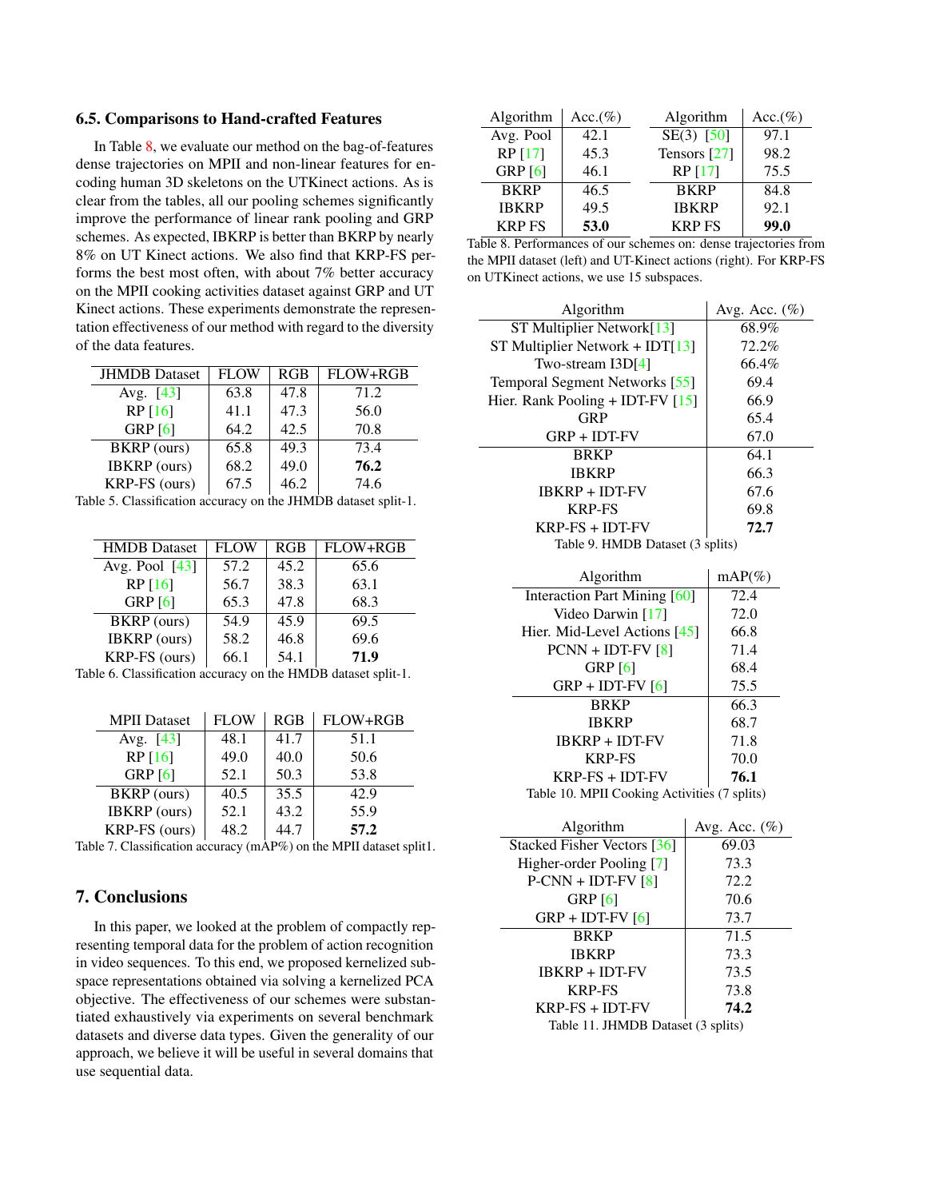#### <span id="page-7-7"></span>6.5. Comparisons to Hand-crafted Features

In Table [8,](#page-7-6) we evaluate our method on the bag-of-features dense trajectories on MPII and non-linear features for encoding human 3D skeletons on the UTKinect actions. As is clear from the tables, all our pooling schemes significantly improve the performance of linear rank pooling and GRP schemes. As expected, IBKRP is better than BKRP by nearly 8% on UT Kinect actions. We also find that KRP-FS performs the best most often, with about 7% better accuracy on the MPII cooking activities dataset against GRP and UT Kinect actions. These experiments demonstrate the representation effectiveness of our method with regard to the diversity of the data features.

| <b>JHMDB</b> Dataset | <b>FLOW</b> | RGB  | <b>FLOW+RGB</b> |
|----------------------|-------------|------|-----------------|
| Avg. $[43]$          | 63.8        | 47.8 | 71.2            |
| RP[16]               | 41.1        | 47.3 | 56.0            |
| GRP $[6]$            | 64.2        | 42.5 | 70.8            |
| <b>BKRP</b> (ours)   | 65.8        | 49.3 | 73.4            |
| <b>IBKRP</b> (ours)  | 68.2        | 49.0 | 76.2            |
| KRP-FS (ours)        | 67.5        | 46.2 | 74.6            |
|                      |             |      |                 |

<span id="page-7-0"></span>Table 5. Classification accuracy on the JHMDB dataset split-1.

| <b>HMDB</b> Dataset | <b>FLOW</b> | RGB  | FLOW+RGB |
|---------------------|-------------|------|----------|
| Avg. Pool [43]      | 57.2        | 45.2 | 65.6     |
| RP[16]              | 56.7        | 38.3 | 63.1     |
| GRP $[6]$           | 65.3        | 47.8 | 68.3     |
| <b>BKRP</b> (ours)  | 54.9        | 45.9 | 69.5     |
| <b>IBKRP</b> (ours) | 58.2        | 46.8 | 69.6     |
| KRP-FS (ours)       | 66.1        | 54.1 | 71.9     |

<span id="page-7-1"></span>Table 6. Classification accuracy on the HMDB dataset split-1.

| <b>MPII</b> Dataset | <b>FLOW</b> | RGB  | FLOW+RGB |
|---------------------|-------------|------|----------|
| Avg. [43]           | 48.1        | 41.7 | 51.1     |
| RP[16]              | 49.0        | 40.0 | 50.6     |
| GRP $[6]$           | 52.1        | 50.3 | 53.8     |
| BKRP (ours)         | 40.5        | 35.5 | 42.9     |
| <b>IBKRP</b> (ours) | 52.1        | 43.2 | 55.9     |
| KRP-FS (ours)       | 48.2        | 44.7 | 57.2     |

<span id="page-7-2"></span>Table 7. Classification accuracy (mAP%) on the MPII dataset split1.

# 7. Conclusions

In this paper, we looked at the problem of compactly representing temporal data for the problem of action recognition in video sequences. To this end, we proposed kernelized subspace representations obtained via solving a kernelized PCA objective. The effectiveness of our schemes were substantiated exhaustively via experiments on several benchmark datasets and diverse data types. Given the generality of our approach, we believe it will be useful in several domains that use sequential data.

| Algorithm     | $Acc. (\%)$ | Algorithm      | $Acc. (\%)$ |
|---------------|-------------|----------------|-------------|
| Avg. Pool     | 42.1        | SE(3) [50]     | 97.1        |
| RP[17]        | 45.3        | Tensors $[27]$ | 98.2        |
| GRP $[6]$     | 46.1        | RP[17]         | 75.5        |
| <b>BKRP</b>   | 46.5        | <b>BKRP</b>    | 84.8        |
| <b>IBKRP</b>  | 49.5        | <b>IBKRP</b>   | 92.1        |
| <b>KRP FS</b> | 53.0        | <b>KRP FS</b>  | 99.0        |

<span id="page-7-6"></span>

| Table 8. Performances of our schemes on: dense trajectories from  |
|-------------------------------------------------------------------|
| the MPII dataset (left) and UT-Kinect actions (right). For KRP-FS |
| on UTKinect actions, we use 15 subspaces.                         |

| Algorithm                              | Avg. Acc. $(\%)$ |  |
|----------------------------------------|------------------|--|
| ST Multiplier Network <sup>[13]</sup>  | 68.9%            |  |
| ST Multiplier Network + IDT[13]        | 72.2%            |  |
| Two-stream $I3D[4]$                    | 66.4%            |  |
| Temporal Segment Networks [55]         | 69.4             |  |
| Hier. Rank Pooling + IDT-FV $[15]$     | 66.9             |  |
| GRP                                    | 65.4             |  |
| $GRP + IDT-FV$                         | 67.0             |  |
| <b>BRKP</b>                            | 64.1             |  |
| <b>IBKRP</b>                           | 66.3             |  |
| <b>IBKRP + IDT-FV</b>                  | 67.6             |  |
| <b>KRP-FS</b>                          | 69.8             |  |
| $KRP-FS + IDT-FV$                      | 72.7             |  |
| $T-11-0$ IIMD $D_{other}$ (2 $-111-$ ) |                  |  |

<span id="page-7-3"></span>Table 9. HMDB Dataset (3 splits)

| Algorithm                    | $mAP(\%)$ |
|------------------------------|-----------|
| Interaction Part Mining [60] | 72.4      |
| Video Darwin [17]            | 72.0      |
| Hier. Mid-Level Actions [45] | 66.8      |
| $PCNN + IDT-FV [8]$          | 71.4      |
| <b>GRP</b> [6]               | 68.4      |
| $GRP + IDT-FV [6]$           | 75.5      |
| <b>BRKP</b>                  | 66.3      |
| <b>IBKRP</b>                 | 68.7      |
| <b>IBKRP + IDT-FV</b>        | 71.8      |
| <b>KRP-FS</b>                | 70.0      |
| <b>KRP-FS + IDT-FV</b>       | 76.1      |

<span id="page-7-4"></span>Table 10. MPII Cooking Activities (7 splits)

<span id="page-7-5"></span>

| Algorithm                          | Avg. Acc. $(\% )$ |  |
|------------------------------------|-------------------|--|
| Stacked Fisher Vectors [36]        | 69.03             |  |
| Higher-order Pooling [7]           | 73.3              |  |
| $P-CNN + IDT-FV [8]$               | 72.2              |  |
| <b>GRP</b> [6]                     | 70.6              |  |
| $GRP + IDT-FV [6]$                 | 73.7              |  |
| <b>BRKP</b>                        | 71.5              |  |
| <b>IBKRP</b>                       | 73.3              |  |
| IBKRP + IDT-FV                     | 73.5              |  |
| <b>KRP-FS</b>                      | 73.8              |  |
| $KRP-FS + IDT-FV$                  | 74.2              |  |
| Table 11. JHMDB Dataset (3 splits) |                   |  |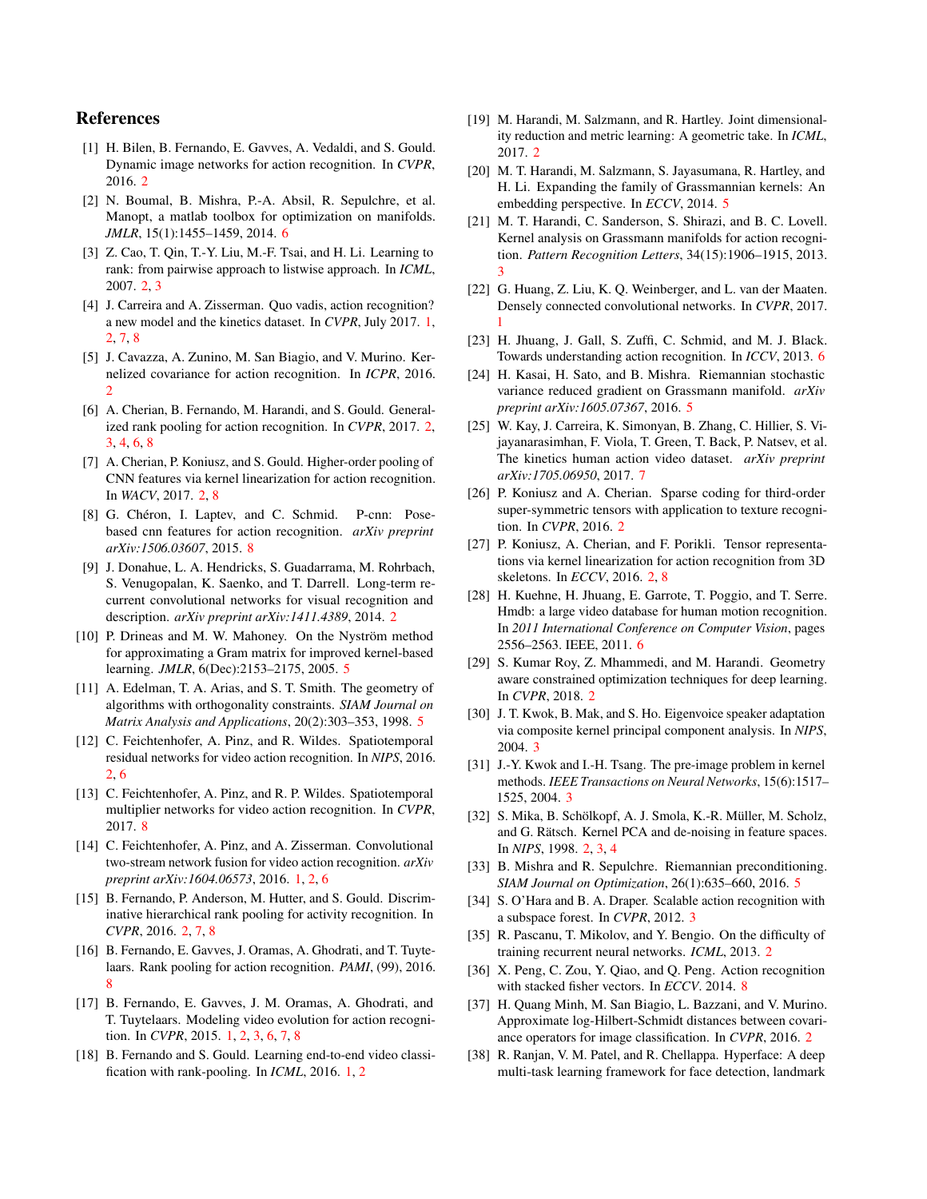# References

- <span id="page-8-12"></span>[1] H. Bilen, B. Fernando, E. Gavves, A. Vedaldi, and S. Gould. Dynamic image networks for action recognition. In *CVPR*, 2016. [2](#page-1-0)
- <span id="page-8-30"></span>[2] N. Boumal, B. Mishra, P.-A. Absil, R. Sepulchre, et al. Manopt, a matlab toolbox for optimization on manifolds. *JMLR*, 15(1):1455–1459, 2014. [6](#page-5-0)
- <span id="page-8-6"></span>[3] Z. Cao, T. Qin, T.-Y. Liu, M.-F. Tsai, and H. Li. Learning to rank: from pairwise approach to listwise approach. In *ICML*, 2007. [2,](#page-1-0) [3](#page-2-4)
- <span id="page-8-3"></span>[4] J. Carreira and A. Zisserman. Quo vadis, action recognition? a new model and the kinetics dataset. In *CVPR*, July 2017. [1,](#page-0-0) [2,](#page-1-0) [7,](#page-6-8) [8](#page-7-7)
- <span id="page-8-14"></span>[5] J. Cavazza, A. Zunino, M. San Biagio, and V. Murino. Kernelized covariance for action recognition. In *ICPR*, 2016. [2](#page-1-0)
- <span id="page-8-13"></span>[6] A. Cherian, B. Fernando, M. Harandi, and S. Gould. Generalized rank pooling for action recognition. In *CVPR*, 2017. [2,](#page-1-0) [3,](#page-2-4) [4,](#page-3-8) [6,](#page-5-0) [8](#page-7-7)
- <span id="page-8-20"></span>[7] A. Cherian, P. Koniusz, and S. Gould. Higher-order pooling of CNN features via kernel linearization for action recognition. In *WACV*, 2017. [2,](#page-1-0) [8](#page-7-7)
- <span id="page-8-36"></span>[8] G. Chéron, I. Laptev, and C. Schmid. P-cnn: Posebased cnn features for action recognition. *arXiv preprint arXiv:1506.03607*, 2015. [8](#page-7-7)
- <span id="page-8-9"></span>[9] J. Donahue, L. A. Hendricks, S. Guadarrama, M. Rohrbach, S. Venugopalan, K. Saenko, and T. Darrell. Long-term recurrent convolutional networks for visual recognition and description. *arXiv preprint arXiv:1411.4389*, 2014. [2](#page-1-0)
- <span id="page-8-29"></span>[10] P. Drineas and M. W. Mahoney. On the Nyström method for approximating a Gram matrix for improved kernel-based learning. *JMLR*, 6(Dec):2153–2175, 2005. [5](#page-4-3)
- <span id="page-8-25"></span>[11] A. Edelman, T. A. Arias, and S. T. Smith. The geometry of algorithms with orthogonality constraints. *SIAM Journal on Matrix Analysis and Applications*, 20(2):303–353, 1998. [5](#page-4-3)
- <span id="page-8-8"></span>[12] C. Feichtenhofer, A. Pinz, and R. Wildes. Spatiotemporal residual networks for video action recognition. In *NIPS*, 2016. [2,](#page-1-0) [6](#page-5-0)
- <span id="page-8-35"></span>[13] C. Feichtenhofer, A. Pinz, and R. P. Wildes. Spatiotemporal multiplier networks for video action recognition. In *CVPR*, 2017. [8](#page-7-7)
- <span id="page-8-2"></span>[14] C. Feichtenhofer, A. Pinz, and A. Zisserman. Convolutional two-stream network fusion for video action recognition. *arXiv preprint arXiv:1604.06573*, 2016. [1,](#page-0-0) [2,](#page-1-0) [6](#page-5-0)
- <span id="page-8-11"></span>[15] B. Fernando, P. Anderson, M. Hutter, and S. Gould. Discriminative hierarchical rank pooling for activity recognition. In *CVPR*, 2016. [2,](#page-1-0) [7,](#page-6-8) [8](#page-7-7)
- <span id="page-8-34"></span>[16] B. Fernando, E. Gavves, J. Oramas, A. Ghodrati, and T. Tuytelaars. Rank pooling for action recognition. *PAMI*, (99), 2016. [8](#page-7-7)
- <span id="page-8-4"></span>[17] B. Fernando, E. Gavves, J. M. Oramas, A. Ghodrati, and T. Tuytelaars. Modeling video evolution for action recognition. In *CVPR*, 2015. [1,](#page-0-0) [2,](#page-1-0) [3,](#page-2-4) [6,](#page-5-0) [7,](#page-6-8) [8](#page-7-7)
- <span id="page-8-5"></span>[18] B. Fernando and S. Gould. Learning end-to-end video classification with rank-pooling. In *ICML*, 2016. [1,](#page-0-0) [2](#page-1-0)
- <span id="page-8-17"></span>[19] M. Harandi, M. Salzmann, and R. Hartley. Joint dimensionality reduction and metric learning: A geometric take. In *ICML*, 2017. [2](#page-1-0)
- <span id="page-8-28"></span>[20] M. T. Harandi, M. Salzmann, S. Jayasumana, R. Hartley, and H. Li. Expanding the family of Grassmannian kernels: An embedding perspective. In *ECCV*, 2014. [5](#page-4-3)
- <span id="page-8-21"></span>[21] M. T. Harandi, C. Sanderson, S. Shirazi, and B. C. Lovell. Kernel analysis on Grassmann manifolds for action recognition. *Pattern Recognition Letters*, 34(15):1906–1915, 2013. [3](#page-2-4)
- <span id="page-8-0"></span>[22] G. Huang, Z. Liu, K. Q. Weinberger, and L. van der Maaten. Densely connected convolutional networks. In *CVPR*, 2017. [1](#page-0-0)
- <span id="page-8-32"></span>[23] H. Jhuang, J. Gall, S. Zuffi, C. Schmid, and M. J. Black. Towards understanding action recognition. In *ICCV*, 2013. [6](#page-5-0)
- <span id="page-8-27"></span>[24] H. Kasai, H. Sato, and B. Mishra. Riemannian stochastic variance reduced gradient on Grassmann manifold. *arXiv preprint arXiv:1605.07367*, 2016. [5](#page-4-3)
- <span id="page-8-33"></span>[25] W. Kay, J. Carreira, K. Simonyan, B. Zhang, C. Hillier, S. Vijayanarasimhan, F. Viola, T. Green, T. Back, P. Natsev, et al. The kinetics human action video dataset. *arXiv preprint arXiv:1705.06950*, 2017. [7](#page-6-8)
- <span id="page-8-19"></span>[26] P. Koniusz and A. Cherian. Sparse coding for third-order super-symmetric tensors with application to texture recognition. In *CVPR*, 2016. [2](#page-1-0)
- <span id="page-8-18"></span>[27] P. Koniusz, A. Cherian, and F. Porikli. Tensor representations via kernel linearization for action recognition from 3D skeletons. In *ECCV*, 2016. [2,](#page-1-0) [8](#page-7-7)
- <span id="page-8-31"></span>[28] H. Kuehne, H. Jhuang, E. Garrote, T. Poggio, and T. Serre. Hmdb: a large video database for human motion recognition. In *2011 International Conference on Computer Vision*, pages 2556–2563. IEEE, 2011. [6](#page-5-0)
- <span id="page-8-16"></span>[29] S. Kumar Roy, Z. Mhammedi, and M. Harandi. Geometry aware constrained optimization techniques for deep learning. In *CVPR*, 2018. [2](#page-1-0)
- <span id="page-8-24"></span>[30] J. T. Kwok, B. Mak, and S. Ho. Eigenvoice speaker adaptation via composite kernel principal component analysis. In *NIPS*, 2004. [3](#page-2-4)
- <span id="page-8-23"></span>[31] J.-Y. Kwok and I.-H. Tsang. The pre-image problem in kernel methods. *IEEE Transactions on Neural Networks*, 15(6):1517– 1525, 2004. [3](#page-2-4)
- <span id="page-8-7"></span>[32] S. Mika, B. Schölkopf, A. J. Smola, K.-R. Müller, M. Scholz, and G. Rätsch. Kernel PCA and de-noising in feature spaces. In *NIPS*, 1998. [2,](#page-1-0) [3,](#page-2-4) [4](#page-3-8)
- <span id="page-8-26"></span>[33] B. Mishra and R. Sepulchre. Riemannian preconditioning. *SIAM Journal on Optimization*, 26(1):635–660, 2016. [5](#page-4-3)
- <span id="page-8-22"></span>[34] S. O'Hara and B. A. Draper. Scalable action recognition with a subspace forest. In *CVPR*, 2012. [3](#page-2-4)
- <span id="page-8-10"></span>[35] R. Pascanu, T. Mikolov, and Y. Bengio. On the difficulty of training recurrent neural networks. *ICML*, 2013. [2](#page-1-0)
- <span id="page-8-37"></span>[36] X. Peng, C. Zou, Y. Qiao, and Q. Peng. Action recognition with stacked fisher vectors. In *ECCV*. 2014. [8](#page-7-7)
- <span id="page-8-15"></span>[37] H. Quang Minh, M. San Biagio, L. Bazzani, and V. Murino. Approximate log-Hilbert-Schmidt distances between covariance operators for image classification. In *CVPR*, 2016. [2](#page-1-0)
- <span id="page-8-1"></span>[38] R. Ranjan, V. M. Patel, and R. Chellappa. Hyperface: A deep multi-task learning framework for face detection, landmark